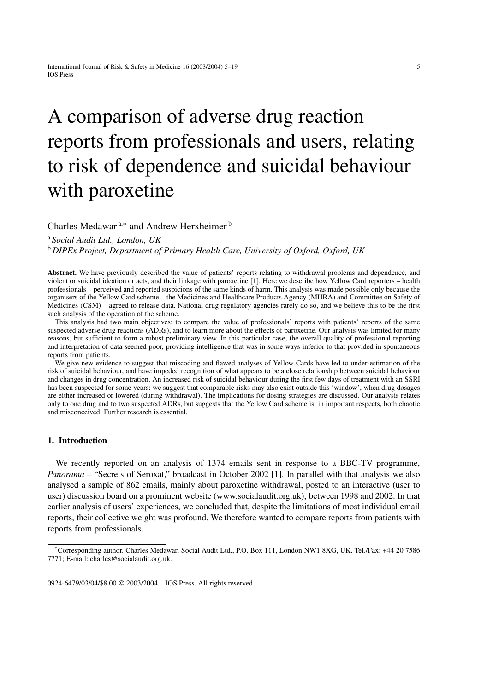# A comparison of adverse drug reaction reports from professionals and users, relating to risk of dependence and suicidal behaviour with paroxetine

Charles Medawar a,<sup>∗</sup> and Andrew Herxheimer <sup>b</sup>

<sup>a</sup> *Social Audit Ltd., London, UK*

<sup>b</sup> *DIPEx Project, Department of Primary Health Care, University of Oxford, Oxford, UK*

**Abstract.** We have previously described the value of patients' reports relating to withdrawal problems and dependence, and violent or suicidal ideation or acts, and their linkage with paroxetine [1]. Here we describe how Yellow Card reporters – health professionals – perceived and reported suspicions of the same kinds of harm. This analysis was made possible only because the organisers of the Yellow Card scheme – the Medicines and Healthcare Products Agency (MHRA) and Committee on Safety of Medicines (CSM) – agreed to release data. National drug regulatory agencies rarely do so, and we believe this to be the first such analysis of the operation of the scheme.

This analysis had two main objectives: to compare the value of professionals' reports with patients' reports of the same suspected adverse drug reactions (ADRs), and to learn more about the effects of paroxetine. Our analysis was limited for many reasons, but sufficient to form a robust preliminary view. In this particular case, the overall quality of professional reporting and interpretation of data seemed poor, providing intelligence that was in some ways inferior to that provided in spontaneous reports from patients.

We give new evidence to suggest that miscoding and flawed analyses of Yellow Cards have led to under-estimation of the risk of suicidal behaviour, and have impeded recognition of what appears to be a close relationship between suicidal behaviour and changes in drug concentration. An increased risk of suicidal behaviour during the first few days of treatment with an SSRI has been suspected for some years: we suggest that comparable risks may also exist outside this 'window', when drug dosages are either increased or lowered (during withdrawal). The implications for dosing strategies are discussed. Our analysis relates only to one drug and to two suspected ADRs, but suggests that the Yellow Card scheme is, in important respects, both chaotic and misconceived. Further research is essential.

# **1. Introduction**

We recently reported on an analysis of 1374 emails sent in response to a BBC-TV programme, *Panorama* – "Secrets of Seroxat," broadcast in October 2002 [1]. In parallel with that analysis we also analysed a sample of 862 emails, mainly about paroxetine withdrawal, posted to an interactive (user to user) discussion board on a prominent website (www.socialaudit.org.uk), between 1998 and 2002. In that earlier analysis of users' experiences, we concluded that, despite the limitations of most individual email reports, their collective weight was profound. We therefore wanted to compare reports from patients with reports from professionals.

<sup>\*</sup> Corresponding author. Charles Medawar, Social Audit Ltd., P.O. Box 111, London NW1 8XG, UK. Tel./Fax: +44 20 7586 7771; E-mail: charles@socialaudit.org.uk.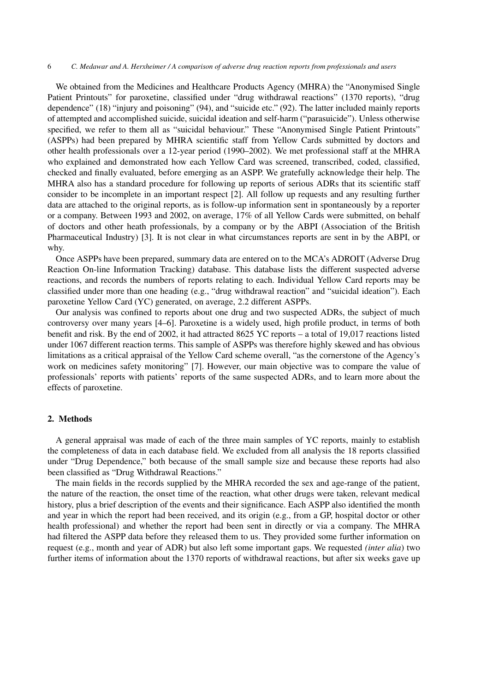We obtained from the Medicines and Healthcare Products Agency (MHRA) the "Anonymised Single Patient Printouts" for paroxetine, classified under "drug withdrawal reactions" (1370 reports), "drug dependence" (18) "injury and poisoning" (94), and "suicide etc." (92). The latter included mainly reports of attempted and accomplished suicide, suicidal ideation and self-harm ("parasuicide"). Unless otherwise specified, we refer to them all as "suicidal behaviour." These "Anonymised Single Patient Printouts" (ASPPs) had been prepared by MHRA scientific staff from Yellow Cards submitted by doctors and other health professionals over a 12-year period (1990–2002). We met professional staff at the MHRA who explained and demonstrated how each Yellow Card was screened, transcribed, coded, classified, checked and finally evaluated, before emerging as an ASPP. We gratefully acknowledge their help. The MHRA also has a standard procedure for following up reports of serious ADRs that its scientific staff consider to be incomplete in an important respect [2]. All follow up requests and any resulting further data are attached to the original reports, as is follow-up information sent in spontaneously by a reporter or a company. Between 1993 and 2002, on average, 17% of all Yellow Cards were submitted, on behalf of doctors and other heath professionals, by a company or by the ABPI (Association of the British Pharmaceutical Industry) [3]. It is not clear in what circumstances reports are sent in by the ABPI, or why.

Once ASPPs have been prepared, summary data are entered on to the MCA's ADROIT (Adverse Drug Reaction On-line Information Tracking) database. This database lists the different suspected adverse reactions, and records the numbers of reports relating to each. Individual Yellow Card reports may be classified under more than one heading (e.g., "drug withdrawal reaction" and "suicidal ideation"). Each paroxetine Yellow Card (YC) generated, on average, 2.2 different ASPPs.

Our analysis was confined to reports about one drug and two suspected ADRs, the subject of much controversy over many years [4–6]. Paroxetine is a widely used, high profile product, in terms of both benefit and risk. By the end of 2002, it had attracted 8625 YC reports – a total of 19,017 reactions listed under 1067 different reaction terms. This sample of ASPPs was therefore highly skewed and has obvious limitations as a critical appraisal of the Yellow Card scheme overall, "as the cornerstone of the Agency's work on medicines safety monitoring" [7]. However, our main objective was to compare the value of professionals' reports with patients' reports of the same suspected ADRs, and to learn more about the effects of paroxetine.

# **2. Methods**

A general appraisal was made of each of the three main samples of YC reports, mainly to establish the completeness of data in each database field. We excluded from all analysis the 18 reports classified under "Drug Dependence," both because of the small sample size and because these reports had also been classified as "Drug Withdrawal Reactions."

The main fields in the records supplied by the MHRA recorded the sex and age-range of the patient, the nature of the reaction, the onset time of the reaction, what other drugs were taken, relevant medical history, plus a brief description of the events and their significance. Each ASPP also identified the month and year in which the report had been received, and its origin (e.g., from a GP, hospital doctor or other health professional) and whether the report had been sent in directly or via a company. The MHRA had filtered the ASPP data before they released them to us. They provided some further information on request (e.g., month and year of ADR) but also left some important gaps. We requested *(inter alia*) two further items of information about the 1370 reports of withdrawal reactions, but after six weeks gave up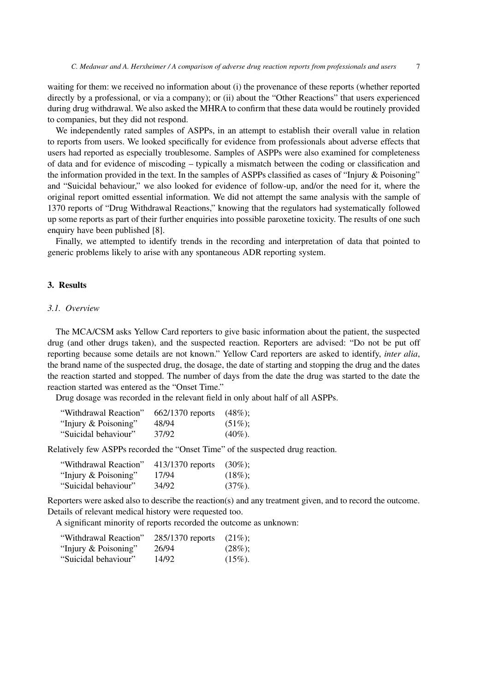waiting for them: we received no information about (i) the provenance of these reports (whether reported directly by a professional, or via a company); or (ii) about the "Other Reactions" that users experienced during drug withdrawal. We also asked the MHRA to confirm that these data would be routinely provided to companies, but they did not respond.

We independently rated samples of ASPPs, in an attempt to establish their overall value in relation to reports from users. We looked specifically for evidence from professionals about adverse effects that users had reported as especially troublesome. Samples of ASPPs were also examined for completeness of data and for evidence of miscoding – typically a mismatch between the coding or classification and the information provided in the text. In the samples of ASPPs classified as cases of "Injury & Poisoning" and "Suicidal behaviour," we also looked for evidence of follow-up, and/or the need for it, where the original report omitted essential information. We did not attempt the same analysis with the sample of 1370 reports of "Drug Withdrawal Reactions," knowing that the regulators had systematically followed up some reports as part of their further enquiries into possible paroxetine toxicity. The results of one such enquiry have been published [8].

Finally, we attempted to identify trends in the recording and interpretation of data that pointed to generic problems likely to arise with any spontaneous ADR reporting system.

# **3. Results**

# *3.1. Overview*

The MCA/CSM asks Yellow Card reporters to give basic information about the patient, the suspected drug (and other drugs taken), and the suspected reaction. Reporters are advised: "Do not be put off reporting because some details are not known." Yellow Card reporters are asked to identify, *inter alia*, the brand name of the suspected drug, the dosage, the date of starting and stopping the drug and the dates the reaction started and stopped. The number of days from the date the drug was started to the date the reaction started was entered as the "Onset Time."

Drug dosage was recorded in the relevant field in only about half of all ASPPs.

| "Withdrawal Reaction" | $662/1370$ reports | $(48\%)$ ; |
|-----------------------|--------------------|------------|
| "Injury & Poisoning"  | 48/94              | $(51\%)$ ; |
| "Suicidal behaviour"  | 37/92              | $(40\%).$  |

Relatively few ASPPs recorded the "Onset Time" of the suspected drug reaction.

| "Withdrawal Reaction" | 413/1370 reports | $(30\%)$   |
|-----------------------|------------------|------------|
| "Injury & Poisoning"  | 17/94            | $(18\%)$   |
| "Suicidal behaviour"  | 34/92            | $(37\%)$ . |

Reporters were asked also to describe the reaction(s) and any treatment given, and to record the outcome. Details of relevant medical history were requested too.

A significant minority of reports recorded the outcome as unknown:

| "Withdrawal Reaction" | 285/1370 reports | $(21\%)$ : |
|-----------------------|------------------|------------|
| "Injury & Poisoning"  | 26/94            | $(28\%)$ ; |
| "Suicidal behaviour"  | 14/92            | $(15\%)$ . |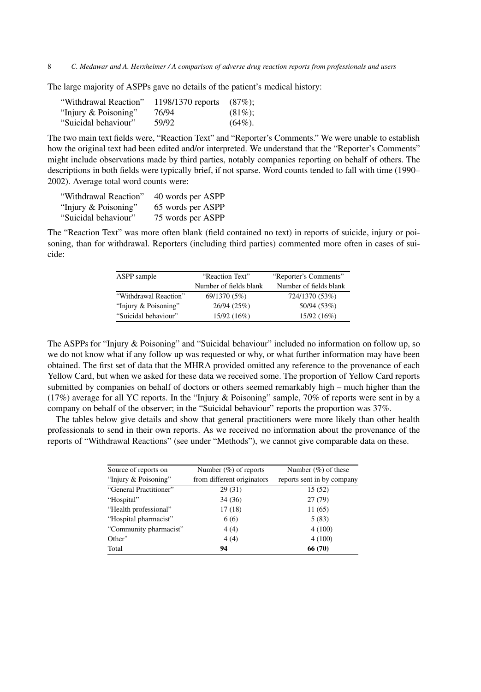The large majority of ASPPs gave no details of the patient's medical history:

| "Withdrawal Reaction" | 1198/1370 reports | $(87\%)$ : |
|-----------------------|-------------------|------------|
| "Injury & Poisoning"  | 76/94             | $(81\%)$ : |
| "Suicidal behaviour"  | 59/92             | $(64\%)$ . |

The two main text fields were, "Reaction Text" and "Reporter's Comments." We were unable to establish how the original text had been edited and/or interpreted. We understand that the "Reporter's Comments" might include observations made by third parties, notably companies reporting on behalf of others. The descriptions in both fields were typically brief, if not sparse. Word counts tended to fall with time (1990– 2002). Average total word counts were:

| "Withdrawal Reaction" | 40 words per ASPP |
|-----------------------|-------------------|
| "Injury & Poisoning"  | 65 words per ASPP |
| "Suicidal behaviour"  | 75 words per ASPP |

The "Reaction Text" was more often blank (field contained no text) in reports of suicide, injury or poisoning, than for withdrawal. Reporters (including third parties) commented more often in cases of suicide:

| ASPP sample           | "Reaction Text" –      | "Reporter's Comments" – |
|-----------------------|------------------------|-------------------------|
|                       | Number of fields blank | Number of fields blank  |
| "Withdrawal Reaction" | 69/1370 (5%)           | 724/1370 (53%)          |
| "Injury & Poisoning"  | 26/94(25%)             | 50/94 (53%)             |
| "Suicidal behaviour"  | 15/92 (16%)            | 15/92(16%)              |

The ASPPs for "Injury & Poisoning" and "Suicidal behaviour" included no information on follow up, so we do not know what if any follow up was requested or why, or what further information may have been obtained. The first set of data that the MHRA provided omitted any reference to the provenance of each Yellow Card, but when we asked for these data we received some. The proportion of Yellow Card reports submitted by companies on behalf of doctors or others seemed remarkably high – much higher than the (17%) average for all YC reports. In the "Injury & Poisoning" sample, 70% of reports were sent in by a company on behalf of the observer; in the "Suicidal behaviour" reports the proportion was 37%.

The tables below give details and show that general practitioners were more likely than other health professionals to send in their own reports. As we received no information about the provenance of the reports of "Withdrawal Reactions" (see under "Methods"), we cannot give comparable data on these.

| Source of reports on   | Number $(\%)$ of reports   | Number $(\%)$ of these     |
|------------------------|----------------------------|----------------------------|
| "Injury & Poisoning"   | from different originators | reports sent in by company |
| "General Practitioner" | 29(31)                     | 15(52)                     |
| "Hospital"             | 34(36)                     | 27(79)                     |
| "Health professional"  | 17(18)                     | 11(65)                     |
| "Hospital pharmacist"  | 6(6)                       | 5(83)                      |
| "Community pharmacist" | 4(4)                       | 4(100)                     |
| Other <sup>*</sup>     | 4(4)                       | 4(100)                     |
| Total                  | 94                         | 66 (70)                    |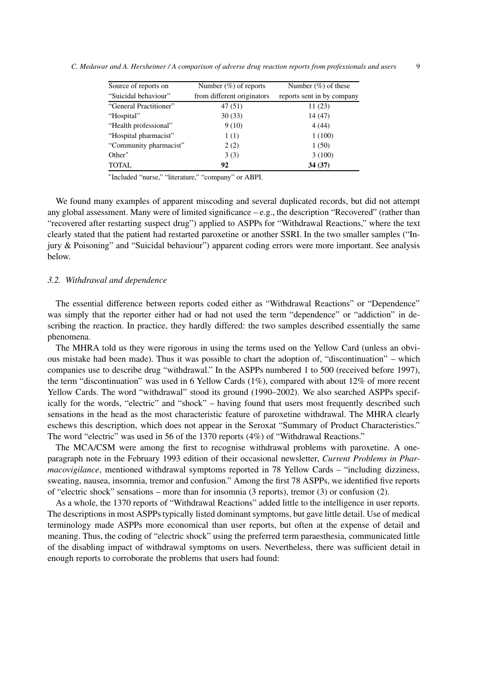| Source of reports on   | Number $(\%)$ of reports   | Number $(\%)$ of these     |
|------------------------|----------------------------|----------------------------|
| "Suicidal behaviour"   | from different originators | reports sent in by company |
| "General Practitioner" | 47 (51)                    | 11(23)                     |
| "Hospital"             | 30(33)                     | 14(47)                     |
| "Health professional"  | 9(10)                      | 4(44)                      |
| "Hospital pharmacist"  | 1(1)                       | 1(100)                     |
| "Community pharmacist" | 2(2)                       | 1(50)                      |
| Other*                 | 3(3)                       | 3(100)                     |
| <b>TOTAL</b>           | 92                         | 34(37)                     |

<sup>∗</sup>Included "nurse," "literature," "company" or ABPI.

We found many examples of apparent miscoding and several duplicated records, but did not attempt any global assessment. Many were of limited significance  $-e.g.,$  the description "Recovered" (rather than "recovered after restarting suspect drug") applied to ASPPs for "Withdrawal Reactions," where the text clearly stated that the patient had restarted paroxetine or another SSRI. In the two smaller samples ("Injury & Poisoning" and "Suicidal behaviour") apparent coding errors were more important. See analysis below.

# *3.2. Withdrawal and dependence*

The essential difference between reports coded either as "Withdrawal Reactions" or "Dependence" was simply that the reporter either had or had not used the term "dependence" or "addiction" in describing the reaction. In practice, they hardly differed: the two samples described essentially the same phenomena.

The MHRA told us they were rigorous in using the terms used on the Yellow Card (unless an obvious mistake had been made). Thus it was possible to chart the adoption of, "discontinuation" – which companies use to describe drug "withdrawal." In the ASPPs numbered 1 to 500 (received before 1997), the term "discontinuation" was used in 6 Yellow Cards (1%), compared with about 12% of more recent Yellow Cards. The word "withdrawal" stood its ground (1990–2002). We also searched ASPPs specifically for the words, "electric" and "shock" – having found that users most frequently described such sensations in the head as the most characteristic feature of paroxetine withdrawal. The MHRA clearly eschews this description, which does not appear in the Seroxat "Summary of Product Characteristics." The word "electric" was used in 56 of the 1370 reports (4%) of "Withdrawal Reactions."

The MCA/CSM were among the first to recognise withdrawal problems with paroxetine. A oneparagraph note in the February 1993 edition of their occasional newsletter, *Current Problems in Pharmacovigilance*, mentioned withdrawal symptoms reported in 78 Yellow Cards – "including dizziness, sweating, nausea, insomnia, tremor and confusion." Among the first 78 ASPPs, we identified five reports of "electric shock" sensations – more than for insomnia (3 reports), tremor (3) or confusion (2).

As a whole, the 1370 reports of "Withdrawal Reactions" added little to the intelligence in user reports. The descriptions in most ASPPs typically listed dominant symptoms, but gave little detail. Use of medical terminology made ASPPs more economical than user reports, but often at the expense of detail and meaning. Thus, the coding of "electric shock" using the preferred term paraesthesia, communicated little of the disabling impact of withdrawal symptoms on users. Nevertheless, there was sufficient detail in enough reports to corroborate the problems that users had found: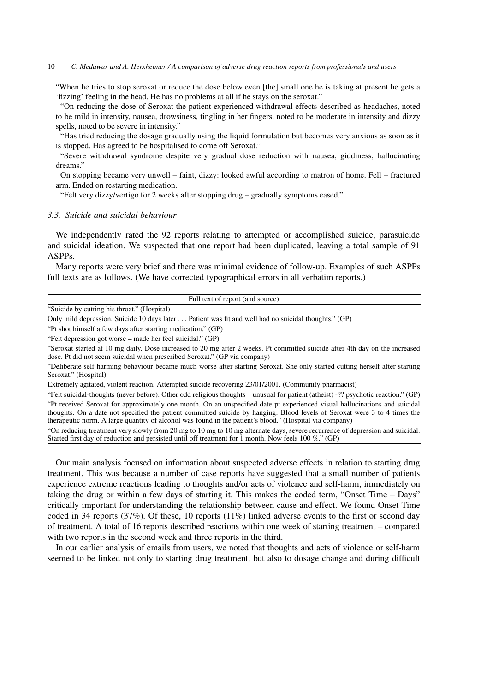"When he tries to stop seroxat or reduce the dose below even [the] small one he is taking at present he gets a 'fizzing' feeling in the head. He has no problems at all if he stays on the seroxat."

"On reducing the dose of Seroxat the patient experienced withdrawal effects described as headaches, noted to be mild in intensity, nausea, drowsiness, tingling in her fingers, noted to be moderate in intensity and dizzy spells, noted to be severe in intensity."

"Has tried reducing the dosage gradually using the liquid formulation but becomes very anxious as soon as it is stopped. Has agreed to be hospitalised to come off Seroxat."

"Severe withdrawal syndrome despite very gradual dose reduction with nausea, giddiness, hallucinating dreams."

On stopping became very unwell – faint, dizzy: looked awful according to matron of home. Fell – fractured arm. Ended on restarting medication.

"Felt very dizzy/vertigo for 2 weeks after stopping drug – gradually symptoms eased."

## *3.3. Suicide and suicidal behaviour*

We independently rated the 92 reports relating to attempted or accomplished suicide, parasuicide and suicidal ideation. We suspected that one report had been duplicated, leaving a total sample of 91 ASPPs.

Many reports were very brief and there was minimal evidence of follow-up. Examples of such ASPPs full texts are as follows. (We have corrected typographical errors in all verbatim reports.)

#### Full text of report (and source)

"Suicide by cutting his throat." (Hospital)

"Pt shot himself a few days after starting medication." (GP)

"Felt depression got worse – made her feel suicidal." (GP)

"Seroxat started at 10 mg daily. Dose increased to 20 mg after 2 weeks. Pt committed suicide after 4th day on the increased dose. Pt did not seem suicidal when prescribed Seroxat." (GP via company)

"Deliberate self harming behaviour became much worse after starting Seroxat. She only started cutting herself after starting Seroxat." (Hospital)

Extremely agitated, violent reaction. Attempted suicide recovering 23/01/2001. (Community pharmacist)

"Felt suicidal-thoughts (never before). Other odd religious thoughts – unusual for patient (atheist) -?? psychotic reaction." (GP) "Pt received Seroxat for approximately one month. On an unspecified date pt experienced visual hallucinations and suicidal thoughts. On a date not specified the patient committed suicide by hanging. Blood levels of Seroxat were 3 to 4 times the therapeutic norm. A large quantity of alcohol was found in the patient's blood." (Hospital via company)

"On reducing treatment very slowly from 20 mg to 10 mg to 10 mg alternate days, severe recurrence of depression and suicidal. Started first day of reduction and persisted until off treatment for 1 month. Now feels 100 %." (GP)

Our main analysis focused on information about suspected adverse effects in relation to starting drug treatment. This was because a number of case reports have suggested that a small number of patients experience extreme reactions leading to thoughts and/or acts of violence and self-harm, immediately on taking the drug or within a few days of starting it. This makes the coded term, "Onset Time – Days" critically important for understanding the relationship between cause and effect. We found Onset Time coded in 34 reports (37%). Of these, 10 reports (11%) linked adverse events to the first or second day of treatment. A total of 16 reports described reactions within one week of starting treatment – compared with two reports in the second week and three reports in the third.

In our earlier analysis of emails from users, we noted that thoughts and acts of violence or self-harm seemed to be linked not only to starting drug treatment, but also to dosage change and during difficult

Only mild depression. Suicide 10 days later ... Patient was fit and well had no suicidal thoughts." (GP)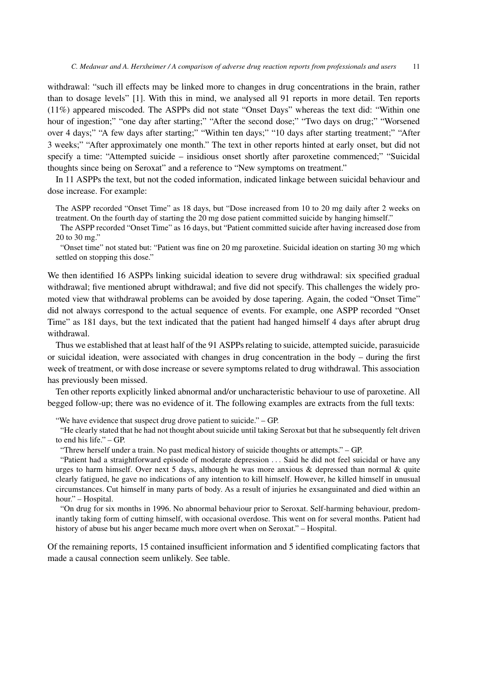withdrawal: "such ill effects may be linked more to changes in drug concentrations in the brain, rather than to dosage levels" [1]. With this in mind, we analysed all 91 reports in more detail. Ten reports (11%) appeared miscoded. The ASPPs did not state "Onset Days" whereas the text did: "Within one hour of ingestion;" "one day after starting;" "After the second dose;" "Two days on drug;" "Worsened over 4 days;" "A few days after starting;" "Within ten days;" "10 days after starting treatment;" "After 3 weeks;" "After approximately one month." The text in other reports hinted at early onset, but did not specify a time: "Attempted suicide – insidious onset shortly after paroxetine commenced;" "Suicidal thoughts since being on Seroxat" and a reference to "New symptoms on treatment."

In 11 ASPPs the text, but not the coded information, indicated linkage between suicidal behaviour and dose increase. For example:

The ASPP recorded "Onset Time" as 18 days, but "Dose increased from 10 to 20 mg daily after 2 weeks on treatment. On the fourth day of starting the 20 mg dose patient committed suicide by hanging himself."

The ASPP recorded "Onset Time" as 16 days, but "Patient committed suicide after having increased dose from 20 to 30 mg."

"Onset time" not stated but: "Patient was fine on 20 mg paroxetine. Suicidal ideation on starting 30 mg which settled on stopping this dose."

We then identified 16 ASPPs linking suicidal ideation to severe drug withdrawal: six specified gradual withdrawal; five mentioned abrupt withdrawal; and five did not specify. This challenges the widely promoted view that withdrawal problems can be avoided by dose tapering. Again, the coded "Onset Time" did not always correspond to the actual sequence of events. For example, one ASPP recorded "Onset Time" as 181 days, but the text indicated that the patient had hanged himself 4 days after abrupt drug withdrawal.

Thus we established that at least half of the 91 ASPPs relating to suicide, attempted suicide, parasuicide or suicidal ideation, were associated with changes in drug concentration in the body – during the first week of treatment, or with dose increase or severe symptoms related to drug withdrawal. This association has previously been missed.

Ten other reports explicitly linked abnormal and/or uncharacteristic behaviour to use of paroxetine. All begged follow-up; there was no evidence of it. The following examples are extracts from the full texts:

"We have evidence that suspect drug drove patient to suicide." – GP.

"He clearly stated that he had not thought about suicide until taking Seroxat but that he subsequently felt driven to end his life." – GP.

"Threw herself under a train. No past medical history of suicide thoughts or attempts." – GP.

"Patient had a straightforward episode of moderate depression ... Said he did not feel suicidal or have any urges to harm himself. Over next 5 days, although he was more anxious & depressed than normal  $\&$  quite clearly fatigued, he gave no indications of any intention to kill himself. However, he killed himself in unusual circumstances. Cut himself in many parts of body. As a result of injuries he exsanguinated and died within an hour." – Hospital.

"On drug for six months in 1996. No abnormal behaviour prior to Seroxat. Self-harming behaviour, predominantly taking form of cutting himself, with occasional overdose. This went on for several months. Patient had history of abuse but his anger became much more overt when on Seroxat." – Hospital.

Of the remaining reports, 15 contained insufficient information and 5 identified complicating factors that made a causal connection seem unlikely. See table.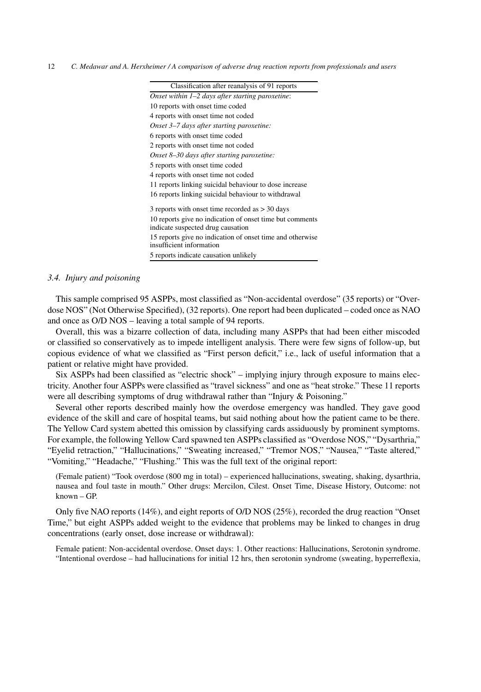| Classification after reanalysis of 91 reports                                         |
|---------------------------------------------------------------------------------------|
| Onset within $1-2$ days after starting paroxetine:                                    |
| 10 reports with onset time coded                                                      |
| 4 reports with onset time not coded                                                   |
| Onset 3–7 days after starting paroxetine:                                             |
| 6 reports with onset time coded                                                       |
| 2 reports with onset time not coded                                                   |
| Onset 8–30 days after starting paroxetine:                                            |
| 5 reports with onset time coded                                                       |
| 4 reports with onset time not coded                                                   |
| 11 reports linking suicidal behaviour to dose increase                                |
| 16 reports linking suicidal behaviour to withdrawal                                   |
| 3 reports with onset time recorded as $>$ 30 days                                     |
| 10 reports give no indication of onset time but comments                              |
| indicate suspected drug causation                                                     |
| 15 reports give no indication of onset time and otherwise<br>insufficient information |
| 5 reports indicate causation unlikely                                                 |

## *3.4. Injury and poisoning*

This sample comprised 95 ASPPs, most classified as "Non-accidental overdose" (35 reports) or "Overdose NOS" (Not Otherwise Specified), (32 reports). One report had been duplicated – coded once as NAO and once as O/D NOS – leaving a total sample of 94 reports.

Overall, this was a bizarre collection of data, including many ASPPs that had been either miscoded or classified so conservatively as to impede intelligent analysis. There were few signs of follow-up, but copious evidence of what we classified as "First person deficit," i.e., lack of useful information that a patient or relative might have provided.

Six ASPPs had been classified as "electric shock" – implying injury through exposure to mains electricity. Another four ASPPs were classified as "travel sickness" and one as "heat stroke." These 11 reports were all describing symptoms of drug withdrawal rather than "Injury & Poisoning."

Several other reports described mainly how the overdose emergency was handled. They gave good evidence of the skill and care of hospital teams, but said nothing about how the patient came to be there. The Yellow Card system abetted this omission by classifying cards assiduously by prominent symptoms. For example, the following Yellow Card spawned ten ASPPs classified as "Overdose NOS," "Dysarthria," "Eyelid retraction," "Hallucinations," "Sweating increased," "Tremor NOS," "Nausea," "Taste altered," "Vomiting," "Headache," "Flushing." This was the full text of the original report:

(Female patient) "Took overdose (800 mg in total) – experienced hallucinations, sweating, shaking, dysarthria, nausea and foul taste in mouth." Other drugs: Mercilon, Cilest. Onset Time, Disease History, Outcome: not known – GP.

Only five NAO reports (14%), and eight reports of O/D NOS (25%), recorded the drug reaction "Onset Time," but eight ASPPs added weight to the evidence that problems may be linked to changes in drug concentrations (early onset, dose increase or withdrawal):

Female patient: Non-accidental overdose. Onset days: 1. Other reactions: Hallucinations, Serotonin syndrome. "Intentional overdose – had hallucinations for initial 12 hrs, then serotonin syndrome (sweating, hyperreflexia,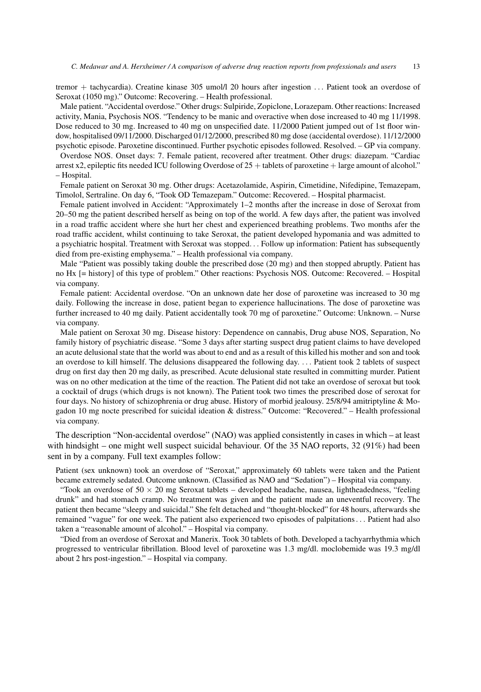tremor + tachycardia). Creatine kinase 305 umol/l 20 hours after ingestion ... Patient took an overdose of Seroxat (1050 mg)." Outcome: Recovering. – Health professional.

Male patient. "Accidental overdose." Other drugs: Sulpiride, Zopiclone, Lorazepam. Other reactions: Increased activity, Mania, Psychosis NOS. "Tendency to be manic and overactive when dose increased to 40 mg 11/1998. Dose reduced to 30 mg. Increased to 40 mg on unspecified date. 11/2000 Patient jumped out of 1st floor window, hospitalised 09/11/2000. Discharged 01/12/2000, prescribed 80 mg dose (accidental overdose). 11/12/2000 psychotic episode. Paroxetine discontinued. Further psychotic episodes followed. Resolved. – GP via company.

Overdose NOS. Onset days: 7. Female patient, recovered after treatment. Other drugs: diazepam. "Cardiac arrest x2, epileptic fits needed ICU following Overdose of  $25 +$  tablets of paroxetine  $+$  large amount of alcohol." – Hospital.

Female patient on Seroxat 30 mg. Other drugs: Acetazolamide, Aspirin, Cimetidine, Nifedipine, Temazepam, Timolol, Sertraline. On day 6, "Took OD Temazepam." Outcome: Recovered. – Hospital pharmacist.

Female patient involved in Accident: "Approximately 1–2 months after the increase in dose of Seroxat from 20–50 mg the patient described herself as being on top of the world. A few days after, the patient was involved in a road traffic accident where she hurt her chest and experienced breathing problems. Two months afer the road traffic accident, whilst continuing to take Seroxat, the patient developed hypomania and was admitted to a psychiatric hospital. Treatment with Seroxat was stopped... Follow up information: Patient has subsequently died from pre-existing emphysema." – Health professional via company.

Male "Patient was possibly taking double the prescribed dose (20 mg) and then stopped abruptly. Patient has no Hx [= history] of this type of problem." Other reactions: Psychosis NOS. Outcome: Recovered. – Hospital via company.

Female patient: Accidental overdose. "On an unknown date her dose of paroxetine was increased to 30 mg daily. Following the increase in dose, patient began to experience hallucinations. The dose of paroxetine was further increased to 40 mg daily. Patient accidentally took 70 mg of paroxetine." Outcome: Unknown. – Nurse via company.

Male patient on Seroxat 30 mg. Disease history: Dependence on cannabis, Drug abuse NOS, Separation, No family history of psychiatric disease. "Some 3 days after starting suspect drug patient claims to have developed an acute delusional state that the world was about to end and as a result of this killed his mother and son and took an overdose to kill himself. The delusions disappeared the following day. ... Patient took 2 tablets of suspect drug on first day then 20 mg daily, as prescribed. Acute delusional state resulted in committing murder. Patient was on no other medication at the time of the reaction. The Patient did not take an overdose of seroxat but took a cocktail of drugs (which drugs is not known). The Patient took two times the prescribed dose of seroxat for four days. No history of schizophrenia or drug abuse. History of morbid jealousy. 25/8/94 amitriptyline & Mogadon 10 mg nocte prescribed for suicidal ideation & distress." Outcome: "Recovered." – Health professional via company.

The description "Non-accidental overdose" (NAO) was applied consistently in cases in which – at least with hindsight – one might well suspect suicidal behaviour. Of the 35 NAO reports, 32 (91%) had been sent in by a company. Full text examples follow:

Patient (sex unknown) took an overdose of "Seroxat," approximately 60 tablets were taken and the Patient became extremely sedated. Outcome unknown. (Classified as NAO and "Sedation") – Hospital via company.

"Took an overdose of  $50 \times 20$  mg Seroxat tablets – developed headache, nausea, lightheadedness, "feeling drunk" and had stomach cramp. No treatment was given and the patient made an uneventful recovery. The patient then became "sleepy and suicidal." She felt detached and "thought-blocked" for 48 hours, afterwards she remained "vague" for one week. The patient also experienced two episodes of palpitations... Patient had also taken a "reasonable amount of alcohol." – Hospital via company.

"Died from an overdose of Seroxat and Manerix. Took 30 tablets of both. Developed a tachyarrhythmia which progressed to ventricular fibrillation. Blood level of paroxetine was 1.3 mg/dl. moclobemide was 19.3 mg/dl about 2 hrs post-ingestion." – Hospital via company.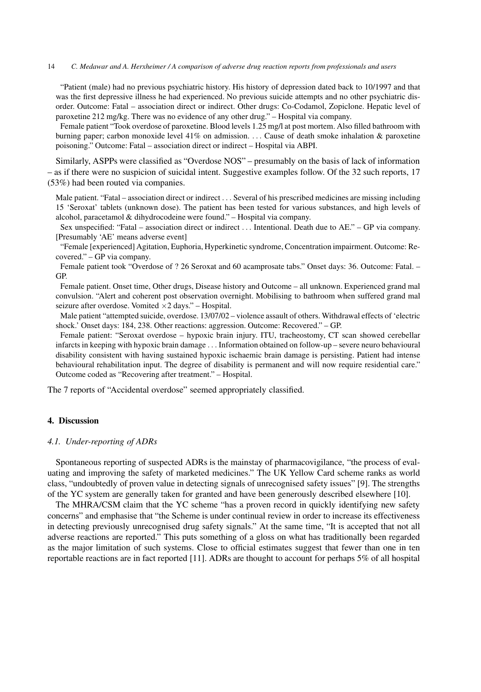"Patient (male) had no previous psychiatric history. His history of depression dated back to 10/1997 and that was the first depressive illness he had experienced. No previous suicide attempts and no other psychiatric disorder. Outcome: Fatal – association direct or indirect. Other drugs: Co-Codamol, Zopiclone. Hepatic level of paroxetine 212 mg/kg. There was no evidence of any other drug." – Hospital via company.

Female patient "Took overdose of paroxetine. Blood levels 1.25 mg/l at post mortem. Also filled bathroom with burning paper; carbon monoxide level 41% on admission. ... Cause of death smoke inhalation & paroxetine poisoning." Outcome: Fatal – association direct or indirect – Hospital via ABPI.

Similarly, ASPPs were classified as "Overdose NOS" – presumably on the basis of lack of information – as if there were no suspicion of suicidal intent. Suggestive examples follow. Of the 32 such reports, 17 (53%) had been routed via companies.

Male patient. "Fatal – association direct or indirect ... Several of his prescribed medicines are missing including 15 'Seroxat' tablets (unknown dose). The patient has been tested for various substances, and high levels of alcohol, paracetamol & dihydrocodeine were found." – Hospital via company.

Sex unspecified: "Fatal – association direct or indirect ... Intentional. Death due to AE." – GP via company. [Presumably 'AE' means adverse event]

"Female [experienced] Agitation, Euphoria, Hyperkinetic syndrome, Concentration impairment. Outcome: Recovered." – GP via company.

Female patient took "Overdose of ? 26 Seroxat and 60 acamprosate tabs." Onset days: 36. Outcome: Fatal. – GP.

Female patient. Onset time, Other drugs, Disease history and Outcome – all unknown. Experienced grand mal convulsion. "Alert and coherent post observation overnight. Mobilising to bathroom when suffered grand mal seizure after overdose. Vomited  $\times$ 2 days." – Hospital.

Male patient "attempted suicide, overdose. 13/07/02 – violence assault of others. Withdrawal effects of 'electric shock.' Onset days: 184, 238. Other reactions: aggression. Outcome: Recovered." – GP.

Female patient: "Seroxat overdose – hypoxic brain injury. ITU, tracheostomy, CT scan showed cerebellar infarcts in keeping with hypoxic brain damage ... Information obtained on follow-up – severe neuro behavioural disability consistent with having sustained hypoxic ischaemic brain damage is persisting. Patient had intense behavioural rehabilitation input. The degree of disability is permanent and will now require residential care." Outcome coded as "Recovering after treatment." – Hospital.

The 7 reports of "Accidental overdose" seemed appropriately classified.

# **4. Discussion**

## *4.1. Under-reporting of ADRs*

Spontaneous reporting of suspected ADRs is the mainstay of pharmacovigilance, "the process of evaluating and improving the safety of marketed medicines." The UK Yellow Card scheme ranks as world class, "undoubtedly of proven value in detecting signals of unrecognised safety issues" [9]. The strengths of the YC system are generally taken for granted and have been generously described elsewhere [10].

The MHRA/CSM claim that the YC scheme "has a proven record in quickly identifying new safety concerns" and emphasise that "the Scheme is under continual review in order to increase its effectiveness in detecting previously unrecognised drug safety signals." At the same time, "It is accepted that not all adverse reactions are reported." This puts something of a gloss on what has traditionally been regarded as the major limitation of such systems. Close to official estimates suggest that fewer than one in ten reportable reactions are in fact reported [11]. ADRs are thought to account for perhaps 5% of all hospital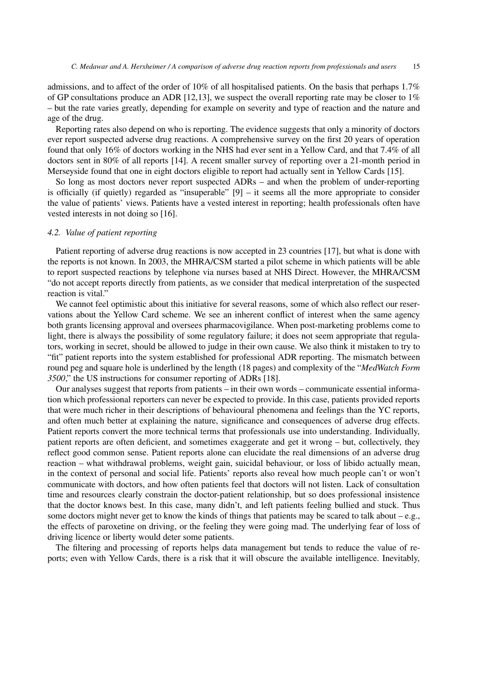admissions, and to affect of the order of 10% of all hospitalised patients. On the basis that perhaps 1.7% of GP consultations produce an ADR [12,13], we suspect the overall reporting rate may be closer to 1% – but the rate varies greatly, depending for example on severity and type of reaction and the nature and age of the drug.

Reporting rates also depend on who is reporting. The evidence suggests that only a minority of doctors ever report suspected adverse drug reactions. A comprehensive survey on the first 20 years of operation found that only 16% of doctors working in the NHS had ever sent in a Yellow Card, and that 7.4% of all doctors sent in 80% of all reports [14]. A recent smaller survey of reporting over a 21-month period in Merseyside found that one in eight doctors eligible to report had actually sent in Yellow Cards [15].

So long as most doctors never report suspected ADRs – and when the problem of under-reporting is officially (if quietly) regarded as "insuperable" [9] – it seems all the more appropriate to consider the value of patients' views. Patients have a vested interest in reporting; health professionals often have vested interests in not doing so [16].

## *4.2. Value of patient reporting*

Patient reporting of adverse drug reactions is now accepted in 23 countries [17], but what is done with the reports is not known. In 2003, the MHRA/CSM started a pilot scheme in which patients will be able to report suspected reactions by telephone via nurses based at NHS Direct. However, the MHRA/CSM "do not accept reports directly from patients, as we consider that medical interpretation of the suspected reaction is vital."

We cannot feel optimistic about this initiative for several reasons, some of which also reflect our reservations about the Yellow Card scheme. We see an inherent conflict of interest when the same agency both grants licensing approval and oversees pharmacovigilance. When post-marketing problems come to light, there is always the possibility of some regulatory failure; it does not seem appropriate that regulators, working in secret, should be allowed to judge in their own cause. We also think it mistaken to try to "fit" patient reports into the system established for professional ADR reporting. The mismatch between round peg and square hole is underlined by the length (18 pages) and complexity of the "*MedWatch Form 3500*," the US instructions for consumer reporting of ADRs [18].

Our analyses suggest that reports from patients – in their own words – communicate essential information which professional reporters can never be expected to provide. In this case, patients provided reports that were much richer in their descriptions of behavioural phenomena and feelings than the YC reports, and often much better at explaining the nature, significance and consequences of adverse drug effects. Patient reports convert the more technical terms that professionals use into understanding. Individually, patient reports are often deficient, and sometimes exaggerate and get it wrong – but, collectively, they reflect good common sense. Patient reports alone can elucidate the real dimensions of an adverse drug reaction – what withdrawal problems, weight gain, suicidal behaviour, or loss of libido actually mean, in the context of personal and social life. Patients' reports also reveal how much people can't or won't communicate with doctors, and how often patients feel that doctors will not listen. Lack of consultation time and resources clearly constrain the doctor-patient relationship, but so does professional insistence that the doctor knows best. In this case, many didn't, and left patients feeling bullied and stuck. Thus some doctors might never get to know the kinds of things that patients may be scared to talk about – e.g., the effects of paroxetine on driving, or the feeling they were going mad. The underlying fear of loss of driving licence or liberty would deter some patients.

The filtering and processing of reports helps data management but tends to reduce the value of reports; even with Yellow Cards, there is a risk that it will obscure the available intelligence. Inevitably,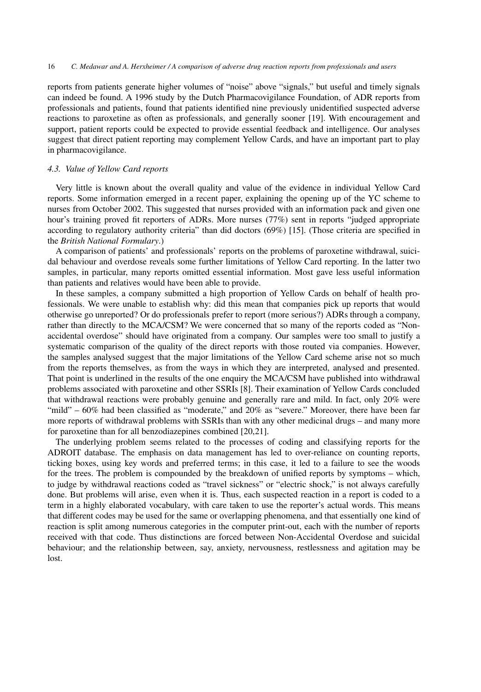reports from patients generate higher volumes of "noise" above "signals," but useful and timely signals can indeed be found. A 1996 study by the Dutch Pharmacovigilance Foundation, of ADR reports from professionals and patients, found that patients identified nine previously unidentified suspected adverse reactions to paroxetine as often as professionals, and generally sooner [19]. With encouragement and support, patient reports could be expected to provide essential feedback and intelligence. Our analyses suggest that direct patient reporting may complement Yellow Cards, and have an important part to play in pharmacovigilance.

# *4.3. Value of Yellow Card reports*

Very little is known about the overall quality and value of the evidence in individual Yellow Card reports. Some information emerged in a recent paper, explaining the opening up of the YC scheme to nurses from October 2002. This suggested that nurses provided with an information pack and given one hour's training proved fit reporters of ADRs. More nurses (77%) sent in reports "judged appropriate according to regulatory authority criteria" than did doctors (69%) [15]. (Those criteria are specified in the *British National Formulary*.)

A comparison of patients' and professionals' reports on the problems of paroxetine withdrawal, suicidal behaviour and overdose reveals some further limitations of Yellow Card reporting. In the latter two samples, in particular, many reports omitted essential information. Most gave less useful information than patients and relatives would have been able to provide.

In these samples, a company submitted a high proportion of Yellow Cards on behalf of health professionals. We were unable to establish why: did this mean that companies pick up reports that would otherwise go unreported? Or do professionals prefer to report (more serious?) ADRs through a company, rather than directly to the MCA/CSM? We were concerned that so many of the reports coded as "Nonaccidental overdose" should have originated from a company. Our samples were too small to justify a systematic comparison of the quality of the direct reports with those routed via companies. However, the samples analysed suggest that the major limitations of the Yellow Card scheme arise not so much from the reports themselves, as from the ways in which they are interpreted, analysed and presented. That point is underlined in the results of the one enquiry the MCA/CSM have published into withdrawal problems associated with paroxetine and other SSRIs [8]. Their examination of Yellow Cards concluded that withdrawal reactions were probably genuine and generally rare and mild. In fact, only 20% were "mild" – 60% had been classified as "moderate," and 20% as "severe." Moreover, there have been far more reports of withdrawal problems with SSRIs than with any other medicinal drugs – and many more for paroxetine than for all benzodiazepines combined [20,21].

The underlying problem seems related to the processes of coding and classifying reports for the ADROIT database. The emphasis on data management has led to over-reliance on counting reports, ticking boxes, using key words and preferred terms; in this case, it led to a failure to see the woods for the trees. The problem is compounded by the breakdown of unified reports by symptoms – which, to judge by withdrawal reactions coded as "travel sickness" or "electric shock," is not always carefully done. But problems will arise, even when it is. Thus, each suspected reaction in a report is coded to a term in a highly elaborated vocabulary, with care taken to use the reporter's actual words. This means that different codes may be used for the same or overlapping phenomena, and that essentially one kind of reaction is split among numerous categories in the computer print-out, each with the number of reports received with that code. Thus distinctions are forced between Non-Accidental Overdose and suicidal behaviour; and the relationship between, say, anxiety, nervousness, restlessness and agitation may be lost.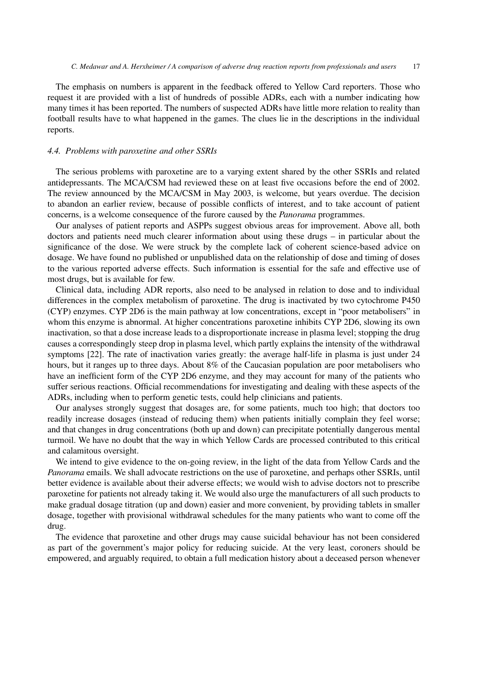The emphasis on numbers is apparent in the feedback offered to Yellow Card reporters. Those who request it are provided with a list of hundreds of possible ADRs, each with a number indicating how many times it has been reported. The numbers of suspected ADRs have little more relation to reality than football results have to what happened in the games. The clues lie in the descriptions in the individual reports.

## *4.4. Problems with paroxetine and other SSRIs*

The serious problems with paroxetine are to a varying extent shared by the other SSRIs and related antidepressants. The MCA/CSM had reviewed these on at least five occasions before the end of 2002. The review announced by the MCA/CSM in May 2003, is welcome, but years overdue. The decision to abandon an earlier review, because of possible conflicts of interest, and to take account of patient concerns, is a welcome consequence of the furore caused by the *Panorama* programmes.

Our analyses of patient reports and ASPPs suggest obvious areas for improvement. Above all, both doctors and patients need much clearer information about using these drugs – in particular about the significance of the dose. We were struck by the complete lack of coherent science-based advice on dosage. We have found no published or unpublished data on the relationship of dose and timing of doses to the various reported adverse effects. Such information is essential for the safe and effective use of most drugs, but is available for few.

Clinical data, including ADR reports, also need to be analysed in relation to dose and to individual differences in the complex metabolism of paroxetine. The drug is inactivated by two cytochrome P450 (CYP) enzymes. CYP 2D6 is the main pathway at low concentrations, except in "poor metabolisers" in whom this enzyme is abnormal. At higher concentrations paroxetine inhibits CYP 2D6, slowing its own inactivation, so that a dose increase leads to a disproportionate increase in plasma level; stopping the drug causes a correspondingly steep drop in plasma level, which partly explains the intensity of the withdrawal symptoms [22]. The rate of inactivation varies greatly: the average half-life in plasma is just under 24 hours, but it ranges up to three days. About 8% of the Caucasian population are poor metabolisers who have an inefficient form of the CYP 2D6 enzyme, and they may account for many of the patients who suffer serious reactions. Official recommendations for investigating and dealing with these aspects of the ADRs, including when to perform genetic tests, could help clinicians and patients.

Our analyses strongly suggest that dosages are, for some patients, much too high; that doctors too readily increase dosages (instead of reducing them) when patients initially complain they feel worse; and that changes in drug concentrations (both up and down) can precipitate potentially dangerous mental turmoil. We have no doubt that the way in which Yellow Cards are processed contributed to this critical and calamitous oversight.

We intend to give evidence to the on-going review, in the light of the data from Yellow Cards and the *Panorama* emails. We shall advocate restrictions on the use of paroxetine, and perhaps other SSRIs, until better evidence is available about their adverse effects; we would wish to advise doctors not to prescribe paroxetine for patients not already taking it. We would also urge the manufacturers of all such products to make gradual dosage titration (up and down) easier and more convenient, by providing tablets in smaller dosage, together with provisional withdrawal schedules for the many patients who want to come off the drug.

The evidence that paroxetine and other drugs may cause suicidal behaviour has not been considered as part of the government's major policy for reducing suicide. At the very least, coroners should be empowered, and arguably required, to obtain a full medication history about a deceased person whenever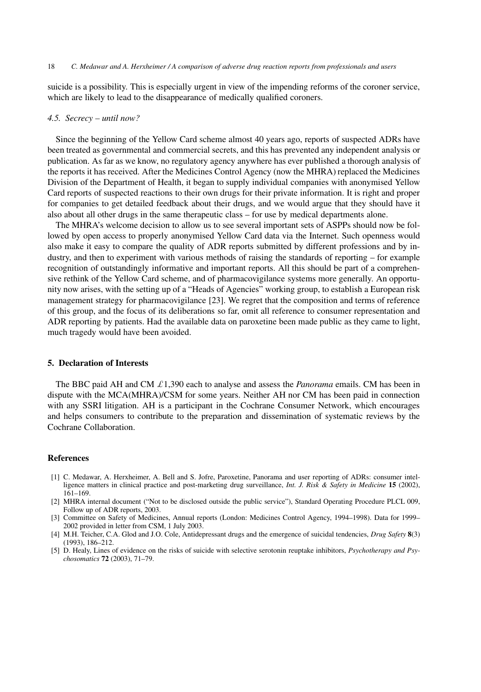suicide is a possibility. This is especially urgent in view of the impending reforms of the coroner service, which are likely to lead to the disappearance of medically qualified coroners.

## *4.5. Secrecy – until now?*

Since the beginning of the Yellow Card scheme almost 40 years ago, reports of suspected ADRs have been treated as governmental and commercial secrets, and this has prevented any independent analysis or publication. As far as we know, no regulatory agency anywhere has ever published a thorough analysis of the reports it has received. After the Medicines Control Agency (now the MHRA) replaced the Medicines Division of the Department of Health, it began to supply individual companies with anonymised Yellow Card reports of suspected reactions to their own drugs for their private information. It is right and proper for companies to get detailed feedback about their drugs, and we would argue that they should have it also about all other drugs in the same therapeutic class – for use by medical departments alone.

The MHRA's welcome decision to allow us to see several important sets of ASPPs should now be followed by open access to properly anonymised Yellow Card data via the Internet. Such openness would also make it easy to compare the quality of ADR reports submitted by different professions and by industry, and then to experiment with various methods of raising the standards of reporting – for example recognition of outstandingly informative and important reports. All this should be part of a comprehensive rethink of the Yellow Card scheme, and of pharmacovigilance systems more generally. An opportunity now arises, with the setting up of a "Heads of Agencies" working group, to establish a European risk management strategy for pharmacovigilance [23]. We regret that the composition and terms of reference of this group, and the focus of its deliberations so far, omit all reference to consumer representation and ADR reporting by patients. Had the available data on paroxetine been made public as they came to light, much tragedy would have been avoided.

## **5. Declaration of Interests**

The BBC paid AH and CM  $\pounds$ 1,390 each to analyse and assess the *Panorama* emails. CM has been in dispute with the MCA(MHRA)/CSM for some years. Neither AH nor CM has been paid in connection with any SSRI litigation. AH is a participant in the Cochrane Consumer Network, which encourages and helps consumers to contribute to the preparation and dissemination of systematic reviews by the Cochrane Collaboration.

#### **References**

- [1] C. Medawar, A. Herxheimer, A. Bell and S. Jofre, Paroxetine, Panorama and user reporting of ADRs: consumer intelligence matters in clinical practice and post-marketing drug surveillance, *Int. J. Risk & Safety in Medicine* **15** (2002), 161–169.
- [2] MHRA internal document ("Not to be disclosed outside the public service"), Standard Operating Procedure PLCL 009, Follow up of ADR reports, 2003.
- [3] Committee on Safety of Medicines, Annual reports (London: Medicines Control Agency, 1994–1998). Data for 1999– 2002 provided in letter from CSM, 1 July 2003.
- [4] M.H. Teicher, C.A. Glod and J.O. Cole, Antidepressant drugs and the emergence of suicidal tendencies, *Drug Safety* **8**(3) (1993), 186–212.
- [5] D. Healy, Lines of evidence on the risks of suicide with selective serotonin reuptake inhibitors, *Psychotherapy and Psychosomatics* **72** (2003), 71–79.